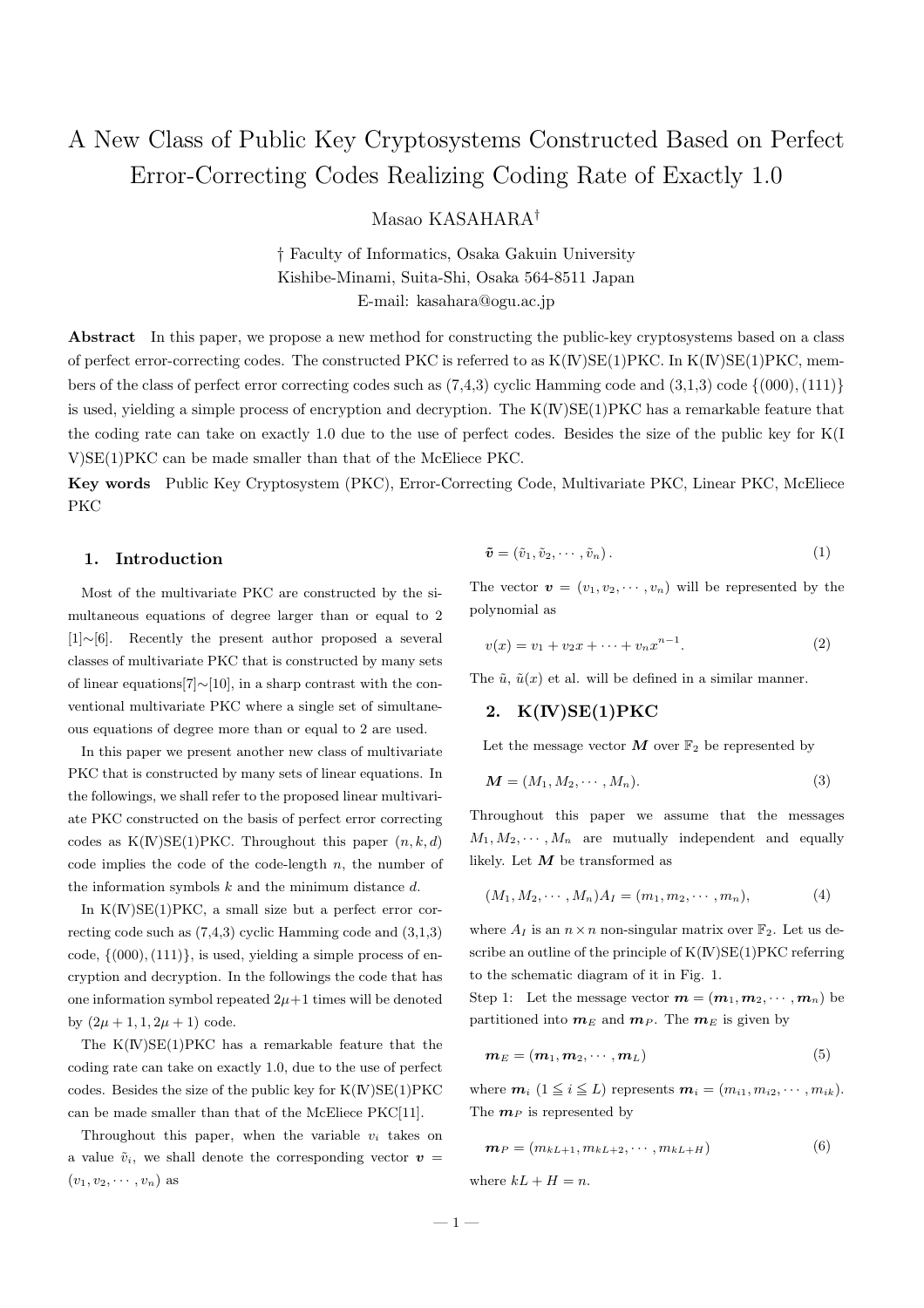# A New Class of Public Key Cryptosystems Constructed Based on Perfect Error-Correcting Codes Realizing Coding Rate of Exactly 1.0

Masao KASAHARA†

† Faculty of Informatics, Osaka Gakuin University Kishibe-Minami, Suita-Shi, Osaka 564-8511 Japan E-mail: kasahara@ogu.ac.jp

Abstract In this paper, we propose a new method for constructing the public-key cryptosystems based on a class of perfect error-correcting codes. The constructed PKC is referred to as  $K(V)SE(1)PKC$ . In  $K(V)SE(1)PKC$ , members of the class of perfect error correcting codes such as  $(7,4,3)$  cyclic Hamming code and  $(3,1,3)$  code  $\{(000),(111)\}$ is used, yielding a simple process of encryption and decryption. The  $K(V)SE(1)PKC$  has a remarkable feature that the coding rate can take on exactly 1.0 due to the use of perfect codes. Besides the size of the public key for K(I V)SE(1)PKC can be made smaller than that of the McEliece PKC.

Key words Public Key Cryptosystem (PKC), Error-Correcting Code, Multivariate PKC, Linear PKC, McEliece PKC

# 1. Introduction

Most of the multivariate PKC are constructed by the simultaneous equations of degree larger than or equal to 2 [1]∼[6]. Recently the present author proposed a several classes of multivariate PKC that is constructed by many sets of linear equations[7]∼[10], in a sharp contrast with the conventional multivariate PKC where a single set of simultaneous equations of degree more than or equal to 2 are used.

In this paper we present another new class of multivariate PKC that is constructed by many sets of linear equations. In the followings, we shall refer to the proposed linear multivariate PKC constructed on the basis of perfect error correcting codes as  $K(N)SE(1)PKC$ . Throughout this paper  $(n, k, d)$ code implies the code of the code-length  $n$ , the number of the information symbols  $k$  and the minimum distance  $d$ .

In  $K(N)SE(1)PKC$ , a small size but a perfect error correcting code such as (7,4,3) cyclic Hamming code and (3,1,3) code,  $\{(000), (111)\}$ , is used, yielding a simple process of encryption and decryption. In the followings the code that has one information symbol repeated  $2\mu+1$  times will be denoted by  $(2\mu + 1, 1, 2\mu + 1)$  code.

The  $K(\mathbb{N})SE(1)PKC$  has a remarkable feature that the coding rate can take on exactly 1.0, due to the use of perfect codes. Besides the size of the public key for  $K(\mathbb{N})SE(1)PKC$ can be made smaller than that of the McEliece PKC[11].

Throughout this paper, when the variable  $v_i$  takes on a value  $\tilde{v}_i$ , we shall denote the corresponding vector  $v =$  $(v_1, v_2, \cdots, v_n)$  as

$$
\tilde{\boldsymbol{v}} = (\tilde{v}_1, \tilde{v}_2, \cdots, \tilde{v}_n). \tag{1}
$$

The vector  $\mathbf{v} = (v_1, v_2, \cdots, v_n)$  will be represented by the polynomial as

$$
v(x) = v_1 + v_2 x + \dots + v_n x^{n-1}.
$$
 (2)

The  $\tilde{u}$ ,  $\tilde{u}(x)$  et al. will be defined in a similar manner.

# 2. K(IV)SE(1)PKC

Let the message vector  $M$  over  $\mathbb{F}_2$  be represented by

$$
\mathbf{M} = (M_1, M_2, \cdots, M_n). \tag{3}
$$

Throughout this paper we assume that the messages  $M_1, M_2, \cdots, M_n$  are mutually independent and equally likely. Let  $M$  be transformed as

$$
(M_1, M_2, \cdots, M_n)A_I = (m_1, m_2, \cdots, m_n), \qquad (4)
$$

where  $A_I$  is an  $n \times n$  non-singular matrix over  $\mathbb{F}_2$ . Let us describe an outline of the principle of  $K(\mathbb{N})SE(1)PKC$  referring to the schematic diagram of it in Fig. 1.

Step 1: Let the message vector  $\mathbf{m} = (\mathbf{m}_1, \mathbf{m}_2, \cdots, \mathbf{m}_n)$  be partitioned into  $m_E$  and  $m_P$ . The  $m_E$  is given by

$$
\mathbf{m}_E = (\mathbf{m}_1, \mathbf{m}_2, \cdots, \mathbf{m}_L) \tag{5}
$$

where  $\mathbf{m}_i$   $(1 \leq i \leq L)$  represents  $\mathbf{m}_i = (m_{i1}, m_{i2}, \cdots, m_{ik}).$ The  $m_P$  is represented by

$$
\mathbf{m}_P = (m_{kL+1}, m_{kL+2}, \cdots, m_{kL+H}) \tag{6}
$$

where  $kL + H = n$ .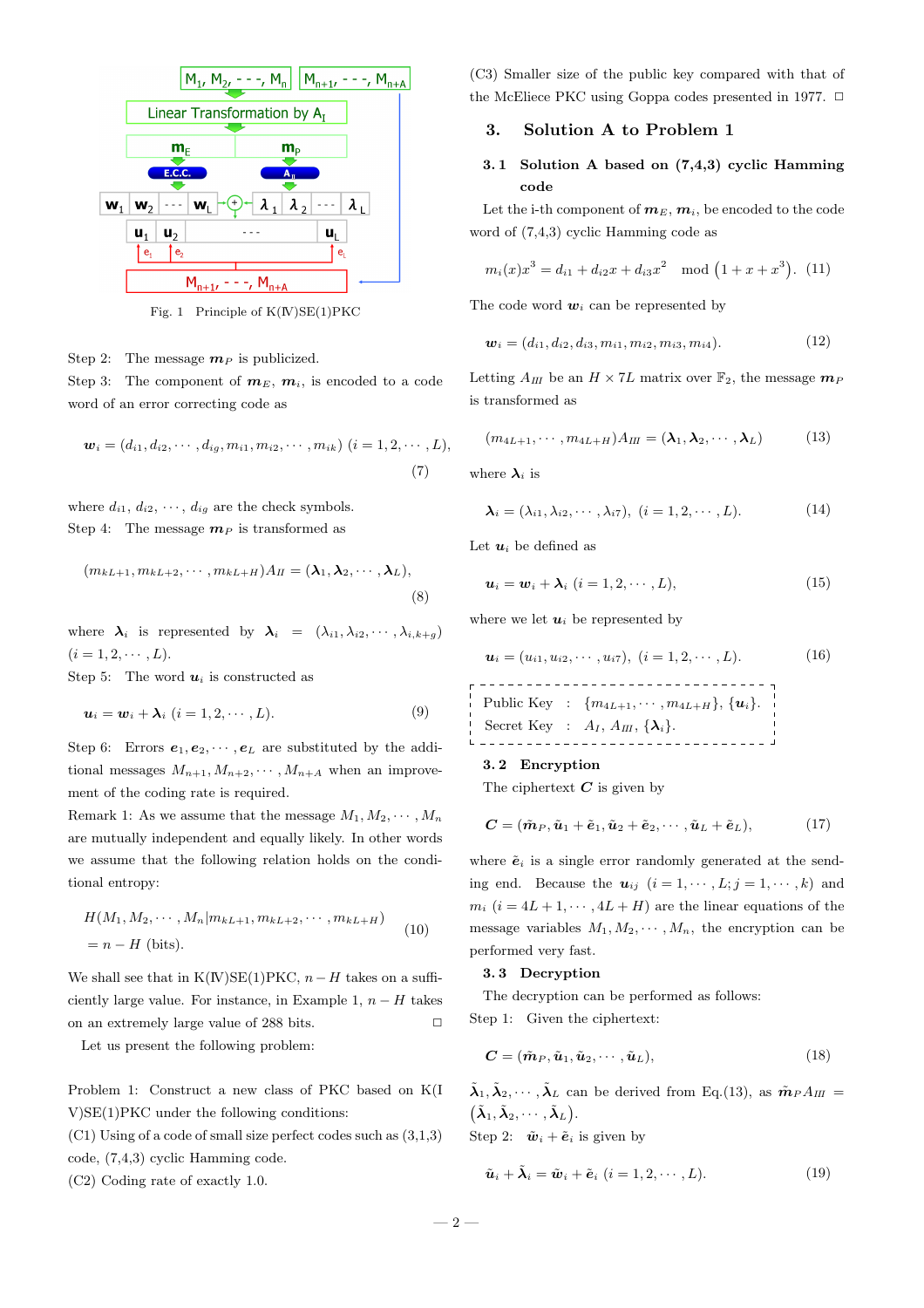

Fig. 1 Principle of K(IV)SE(1)PKC

Step 2: The message  $m_P$  is publicized.

Step 3: The component of  $m_E$ ,  $m_i$ , is encoded to a code word of an error correcting code as

$$
\mathbf{w}_i = (d_{i1}, d_{i2}, \cdots, d_{ig}, m_{i1}, m_{i2}, \cdots, m_{ik}) \ (i = 1, 2, \cdots, L),
$$
\n(7)

where  $d_{i1}, d_{i2}, \cdots, d_{ig}$  are the check symbols. Step 4: The message  $m_P$  is transformed as

$$
(m_{kL+1}, m_{kL+2}, \cdots, m_{kL+H})A_{II} = (\lambda_1, \lambda_2, \cdots, \lambda_L),
$$
\n(8)

where  $\lambda_i$  is represented by  $\lambda_i = (\lambda_{i1}, \lambda_{i2}, \cdots, \lambda_{i,k+g})$  $(i = 1, 2, \cdots, L).$ 

Step 5: The word  $u_i$  is constructed as

$$
\boldsymbol{u}_i = \boldsymbol{w}_i + \boldsymbol{\lambda}_i \ (i = 1, 2, \cdots, L). \tag{9}
$$

Step 6: Errors  $e_1, e_2, \dots, e_L$  are substituted by the additional messages  $M_{n+1}, M_{n+2}, \cdots, M_{n+A}$  when an improvement of the coding rate is required.

Remark 1: As we assume that the message  $M_1, M_2, \cdots, M_n$ are mutually independent and equally likely. In other words we assume that the following relation holds on the conditional entropy:

$$
H(M_1, M_2, \cdots, M_n | m_{kL+1}, m_{kL+2}, \cdots, m_{kL+H})
$$
  
=  $n - H$  (bits). (10)

We shall see that in K(IV)SE(1)PKC,  $n-H$  takes on a sufficiently large value. For instance, in Example 1,  $n - H$  takes on an extremely large value of 288 bits.  $\Box$ 

Let us present the following problem:

Problem 1: Construct a new class of PKC based on K(I V)SE(1)PKC under the following conditions:

(C1) Using of a code of small size perfect codes such as (3,1,3) code, (7,4,3) cyclic Hamming code.

(C2) Coding rate of exactly 1.0.

(C3) Smaller size of the public key compared with that of the McEliece PKC using Goppa codes presented in 1977.  $\Box$ 

### 3. Solution A to Problem 1

# 3. 1 Solution A based on (7,4,3) cyclic Hamming code

Let the i-th component of  $m_E, m_i$ , be encoded to the code word of (7,4,3) cyclic Hamming code as

$$
m_i(x)x^3 = d_{i1} + d_{i2}x + d_{i3}x^2 \mod (1 + x + x^3).
$$
 (11)

The code word  $w_i$  can be represented by

$$
\mathbf{w}_i = (d_{i1}, d_{i2}, d_{i3}, m_{i1}, m_{i2}, m_{i3}, m_{i4}). \tag{12}
$$

Letting  $A_{III}$  be an  $H \times 7L$  matrix over  $\mathbb{F}_2$ , the message  $m_P$ is transformed as

$$
(m_{4L+1},\cdots,m_{4L+H})A_{III}=(\lambda_1,\lambda_2,\cdots,\lambda_L)
$$
 (13)

where  $\lambda_i$  is

$$
\lambda_i = (\lambda_{i1}, \lambda_{i2}, \cdots, \lambda_{i7}), \ (i = 1, 2, \cdots, L). \tag{14}
$$

Let  $u_i$  be defined as

$$
\boldsymbol{u}_i = \boldsymbol{w}_i + \boldsymbol{\lambda}_i \ (i = 1, 2, \cdots, L), \tag{15}
$$

where we let  $u_i$  be represented by

$$
\mathbf{u}_i = (u_{i1}, u_{i2}, \cdots, u_{i7}), \ (i = 1, 2, \cdots, L). \tag{16}
$$

$$
\begin{array}{cccc}\n\text{Public Key} & : & \{m_{4L+1}, \cdots, m_{4L+H}\}, \{\mathbf{u}_i\}. \\
\text{Secret Key} & : & A_I, A_{II}, \{\lambda_i\}.\n\end{array}
$$

### 3. 2 Encryption

The ciphertext  $C$  is given by

$$
\mathbf{C} = (\tilde{\mathbf{m}}_P, \tilde{\mathbf{u}}_1 + \tilde{\mathbf{e}}_1, \tilde{\mathbf{u}}_2 + \tilde{\mathbf{e}}_2, \cdots, \tilde{\mathbf{u}}_L + \tilde{\mathbf{e}}_L),
$$
(17)

where  $\tilde{e}_i$  is a single error randomly generated at the sending end. Because the  $u_{ij}$   $(i = 1, \dots, L; j = 1, \dots, k)$  and  $m_i$   $(i = 4L + 1, \dots, 4L + H)$  are the linear equations of the message variables  $M_1, M_2, \cdots, M_n$ , the encryption can be performed very fast.

### 3. 3 Decryption

The decryption can be performed as follows: Step 1: Given the ciphertext:

$$
\mathbf{C} = (\tilde{\mathbf{m}}_P, \tilde{\mathbf{u}}_1, \tilde{\mathbf{u}}_2, \cdots, \tilde{\mathbf{u}}_L),\tag{18}
$$

 $\tilde{\lambda}_1, \tilde{\lambda}_2, \cdots, \tilde{\lambda}_L$  can be derived from Eq.(13), as  $\tilde{\boldsymbol{m}}_P A_{III} =$  $(\tilde{\pmb{\lambda}}_1, \tilde{\pmb{\lambda}}_2, \cdots, \tilde{\pmb{\lambda}}_L).$ 

Step 2:  $\tilde{\boldsymbol{w}}_i + \tilde{\boldsymbol{e}}_i$  is given by

$$
\tilde{\boldsymbol{u}}_i + \tilde{\boldsymbol{\lambda}}_i = \tilde{\boldsymbol{w}}_i + \tilde{\boldsymbol{e}}_i \ (i = 1, 2, \cdots, L). \tag{19}
$$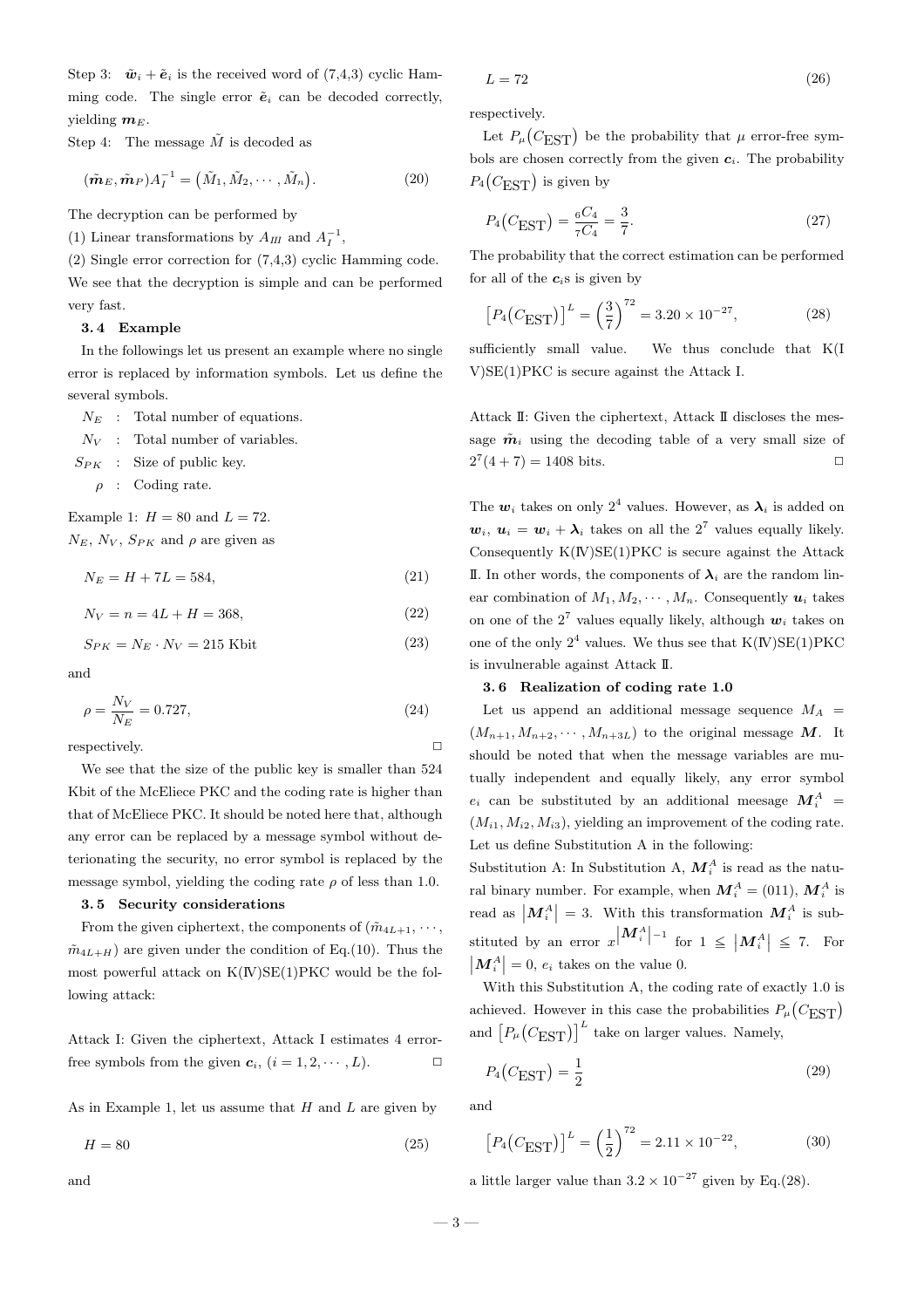Step 3:  $\tilde{\boldsymbol{w}}_i + \tilde{\boldsymbol{e}}_i$  is the received word of (7,4,3) cyclic Hamming code. The single error  $\tilde{\mathbf{e}}_i$  can be decoded correctly, yielding  $m_E$ .

Step 4: The message  $\tilde{M}$  is decoded as

$$
(\tilde{\boldsymbol{m}}_E, \tilde{\boldsymbol{m}}_P) A_I^{-1} = (\tilde{M}_1, \tilde{M}_2, \cdots, \tilde{M}_n).
$$
 (20)

The decryption can be performed by

(1) Linear transformations by  $A_{III}$  and  $A_I^{-1}$ ,

(2) Single error correction for (7,4,3) cyclic Hamming code. We see that the decryption is simple and can be performed very fast.

### 3. 4 Example

In the followings let us present an example where no single error is replaced by information symbols. Let us define the several symbols.

 $N_E$ : Total number of equations.

 $N_V$ : Total number of variables.

 $S_{PK}$  : Size of public key.

 $\rho$  : Coding rate.

Example 1:  $H = 80$  and  $L = 72$ .

 $N_E$ ,  $N_V$ ,  $S_{PK}$  and  $\rho$  are given as

 $N_E = H + 7L = 584,$  (21)

$$
N_V = n = 4L + H = 368,\t(22)
$$

$$
S_{PK} = N_E \cdot N_V = 215 \text{ Kbit}
$$
 (23)

and

$$
\rho = \frac{N_V}{N_E} = 0.727,\tag{24}
$$

respectively.  $\Box$ 

We see that the size of the public key is smaller than 524 Kbit of the McEliece PKC and the coding rate is higher than that of McEliece PKC. It should be noted here that, although any error can be replaced by a message symbol without deterionating the security, no error symbol is replaced by the message symbol, yielding the coding rate  $\rho$  of less than 1.0.

### 3. 5 Security considerations

From the given ciphertext, the components of  $(\tilde{m}_{4L+1}, \dots,$  $\tilde{m}_{4L+H}$ ) are given under the condition of Eq.(10). Thus the most powerful attack on  $K(\mathbb{N})SE(1)PKC$  would be the following attack:

Attack I: Given the ciphertext, Attack I estimates 4 errorfree symbols from the given  $c_i$ ,  $(i = 1, 2, \dots, L)$ .

As in Example 1, let us assume that  $H$  and  $L$  are given by

 $H = 80$  (25)

$$
L = 72\tag{26}
$$

respectively.

Let  $P_\mu$  $(C_{\rm EST})$  be the probability that  $\mu$  error-free symbols are chosen correctly from the given  $c_i$ . The probability  $P_4(C_{\text{EST}})$  is given by

$$
P_4(C_{\text{EST}}) = \frac{{}_6C_4}{{}_7C_4} = \frac{3}{7}.
$$
 (27)

The probability that the correct estimation can be performed for all of the  $c_i$ s is given by

$$
[P_4(C_{\text{EST}})]^L = \left(\frac{3}{7}\right)^{72} = 3.20 \times 10^{-27},\tag{28}
$$

sufficiently small value. We thus conclude that K(I V)SE(1)PKC is secure against the Attack I.

Attack II: Given the ciphertext, Attack II discloses the message  $\tilde{m}_i$  using the decoding table of a very small size of  $2^7(4+7) = 1408$  bits.

The  $w_i$  takes on only  $2^4$  values. However, as  $\lambda_i$  is added on  $w_i, u_i = w_i + \lambda_i$  takes on all the  $2^7$  values equally likely. Consequently  $K(\mathbb{N})SE(1)PKC$  is secure against the Attack II. In other words, the components of  $\lambda_i$  are the random linear combination of  $M_1, M_2, \cdots, M_n$ . Consequently  $u_i$  takes on one of the  $2^7$  values equally likely, although  $w_i$  takes on one of the only  $2^4$  values. We thus see that  $K(\mathbb{N})SE(1)PKC$ is invulnerable against Attack II.

### 3. 6 Realization of coding rate 1.0

Let us append an additional message sequence  $M_A$  =  $(M_{n+1}, M_{n+2}, \cdots, M_{n+3L})$  to the original message M. It should be noted that when the message variables are mutually independent and equally likely, any error symbol  $e_i$  can be substituted by an additional meesage  $M_i^A$  =  $(M_{i1}, M_{i2}, M_{i3})$ , yielding an improvement of the coding rate. Let us define Substitution A in the following:

Substitution A: In Substitution A,  $M_i^A$  is read as the natural binary number. For example, when  $M_i^A = (011)$ ,  $M_i^A$  is read as  $\left| \mathbf{M}_i^A \right| = 3$ . With this transformation  $\mathbf{M}_i^A$  is substituted by an error  $x^{\vert M^A_i \vert -1}$  for  $1 \leq \vert M^A_i \vert$ stituted by an error  $x \vert M_i^A \vert^{-1}$  for  $1 \leq \vert M_i^A \vert \leq 7$ . For  $|\mathbf{M}_i^A|=0, e_i$  takes on the value 0.

With this Substitution A, the coding rate of exactly 1.0 is which also substituted  $\Gamma$ , the country rate of exactly 1.6 is<br>achieved. However in this case the probabilities  $P_\mu(C_{\rm EST})$ and  $[P_\mu]$  $(C_{\text{EST}})^{L}$  take on larger values. Namely,

$$
P_4(C_{\text{EST}}) = \frac{1}{2} \tag{29}
$$

and

$$
[P_4(C_{\text{EST}})]^L = \left(\frac{1}{2}\right)^{72} = 2.11 \times 10^{-22},\tag{30}
$$

a little larger value than  $3.2 \times 10^{-27}$  given by Eq.(28).

 $-3-$ 

and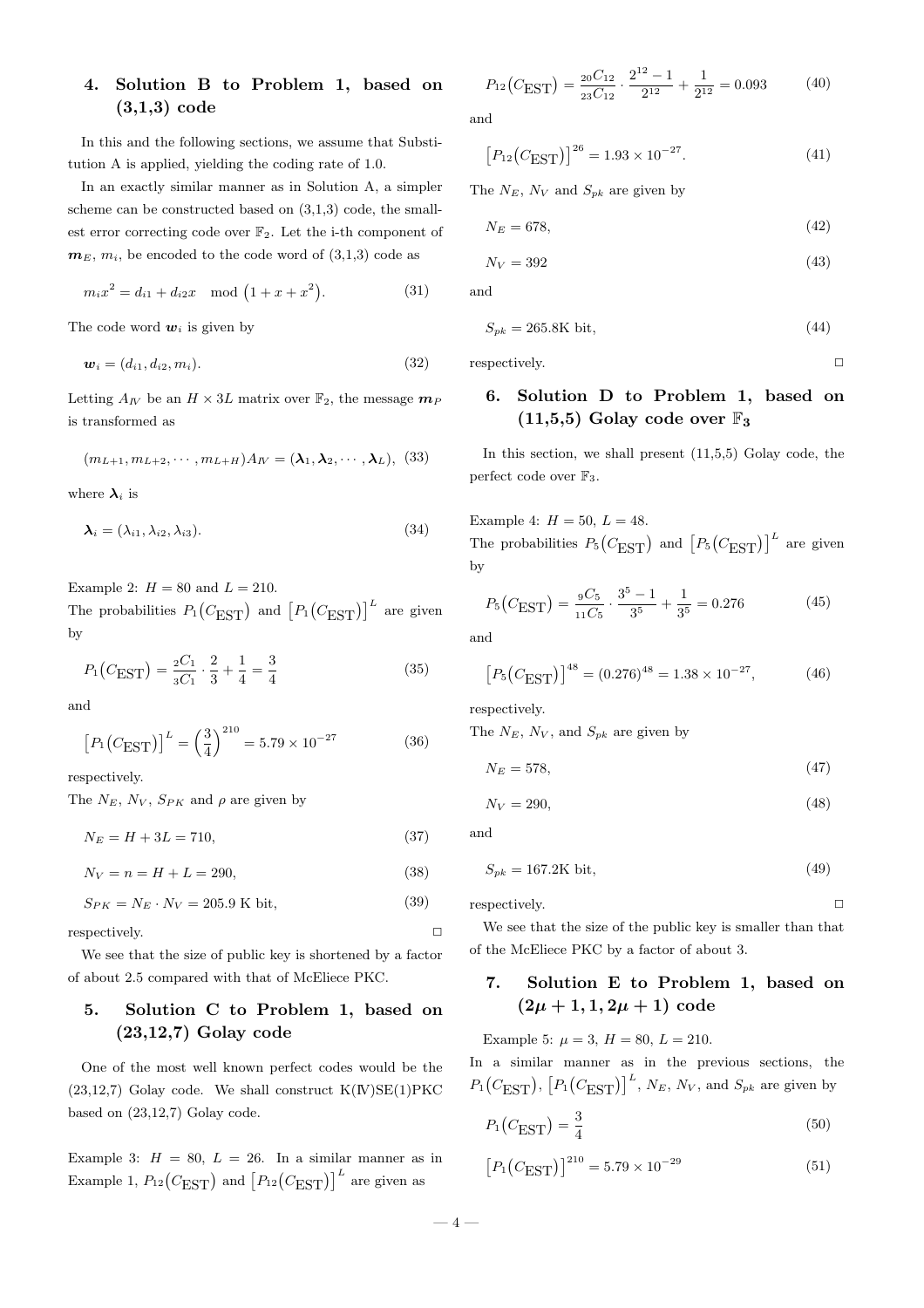# 4. Solution B to Problem 1, based on (3,1,3) code

In this and the following sections, we assume that Substitution A is applied, yielding the coding rate of 1.0.

In an exactly similar manner as in Solution A, a simpler scheme can be constructed based on (3,1,3) code, the smallest error correcting code over  $\mathbb{F}_2$ . Let the i-th component of  $m<sub>E</sub>, m<sub>i</sub>$ , be encoded to the code word of  $(3,1,3)$  code as

$$
m_i x^2 = d_{i1} + d_{i2} x \mod (1 + x + x^2).
$$
 (31)

The code word  $w_i$  is given by

$$
\boldsymbol{w}_i = (d_{i1}, d_{i2}, m_i). \tag{32}
$$

Letting  $A_N$  be an  $H \times 3L$  matrix over  $\mathbb{F}_2$ , the message  $m_P$ is transformed as

$$
(m_{L+1}, m_{L+2}, \cdots, m_{L+H})A_N = (\lambda_1, \lambda_2, \cdots, \lambda_L),
$$
 (33)

where  $\lambda_i$  is

$$
\lambda_i = (\lambda_{i1}, \lambda_{i2}, \lambda_{i3}). \tag{34}
$$

Example 2:  $H = 80$  and  $L = 210$ .

The probabilities  $P_1$  $(C_{\text{EST}})$  and  $[P_1]$  $(C_{\text{EST}})^{L}$  are given by

$$
P_1(C_{\text{EST}}) = \frac{{}_2C_1}{^3C_1} \cdot \frac{2}{3} + \frac{1}{4} = \frac{3}{4}
$$
 (35)

and

$$
[P_1(C_{\text{EST}})]^L = \left(\frac{3}{4}\right)^{210} = 5.79 \times 10^{-27} \tag{36}
$$

respectively.

The  $N_E$ ,  $N_V$ ,  $S_{PK}$  and  $\rho$  are given by

 $N_E = H + 3L = 710,$  (37)

 $N_V = n = H + L = 290,$  (38)

$$
S_{PK} = N_E \cdot N_V = 205.9 \text{ K bit},\tag{39}
$$

respectively.

We see that the size of public key is shortened by a factor of about 2.5 compared with that of McEliece PKC.

# 5. Solution C to Problem 1, based on (23,12,7) Golay code

One of the most well known perfect codes would be the  $(23,12,7)$  Golay code. We shall construct  $K(\text{IV})\text{SE}(1)\text{PKC}$ based on (23,12,7) Golay code.

Example 3:  $H = 80$ ,  $L = 26$ . In a similar manner as in Example 0.  $H = 0.0$ ,  $B = 20$ . In a similar manner as<br>Example 1,  $P_{12}(C_{\text{EST}})$  and  $[P_{12}(C_{\text{EST}})]^L$  are given as

$$
P_{12}\left(C_{\text{EST}}\right) = \frac{{}_{20}C_{12}}{{}_{23}C_{12}} \cdot \frac{2^{12} - 1}{2^{12}} + \frac{1}{2^{12}} = 0.093\tag{40}
$$

and

$$
[P_{12}(C_{\text{EST}})]^{26} = 1.93 \times 10^{-27}.
$$
 (41)

The  $N_E$ ,  $N_V$  and  $S_{pk}$  are given by

$$
N_E = 678,\t(42)
$$

$$
N_V = 392\tag{43}
$$

and

$$
S_{pk} = 265.8 \text{K bit},\tag{44}
$$

respectively.  $\Box$ 

# 6. Solution D to Problem 1, based on  $(11,5,5)$  Golay code over  $\mathbb{F}_3$

In this section, we shall present  $(11,5,5)$  Golay code, the perfect code over  $\mathbb{F}_3$ .

Example 4:  $H = 50, L = 48.$ The probabilities  $P_5$  $\overline{C_{\text{EST}}}$  and  $\overline{P_5}$  $(C_{\text{EST}})^{L}$  are given by

$$
P_5(C_{\text{EST}}) = \frac{{}_{9}C_5}{{}_{11}C_5} \cdot \frac{3^5 - 1}{3^5} + \frac{1}{3^5} = 0.276 \tag{45}
$$

and

$$
[P_5(C_{\text{EST}})]^{48} = (0.276)^{48} = 1.38 \times 10^{-27},\tag{46}
$$

respectively.

The  $N_E$ ,  $N_V$ , and  $S_{pk}$  are given by

$$
N_E = 578,\t\t(47)
$$

$$
N_V = 290,\t\t(48)
$$

and

 $S_{pk} = 167.2 \text{K} \text{ bit},$  (49)

respectively.  $\Box$ 

We see that the size of the public key is smaller than that of the McEliece PKC by a factor of about 3.

# 7. Solution E to Problem 1, based on  $(2\mu+1,1,2\mu+1)$  code

Example 5:  $\mu = 3$ ,  $H = 80$ ,  $L = 210$ .

In a similar manner as in the previous sections, the  $P_1$  $(C_{\text{EST}}), [$  $P_1$  $(C_{\text{EST}})^L$ ,  $N_E$ ,  $N_V$ , and  $S_{pk}$  are given by

$$
P_1(C_{\text{EST}}) = \frac{3}{4} \tag{50}
$$

$$
[P_1(C_{\text{EST}})]^{210} = 5.79 \times 10^{-29}
$$
 (51)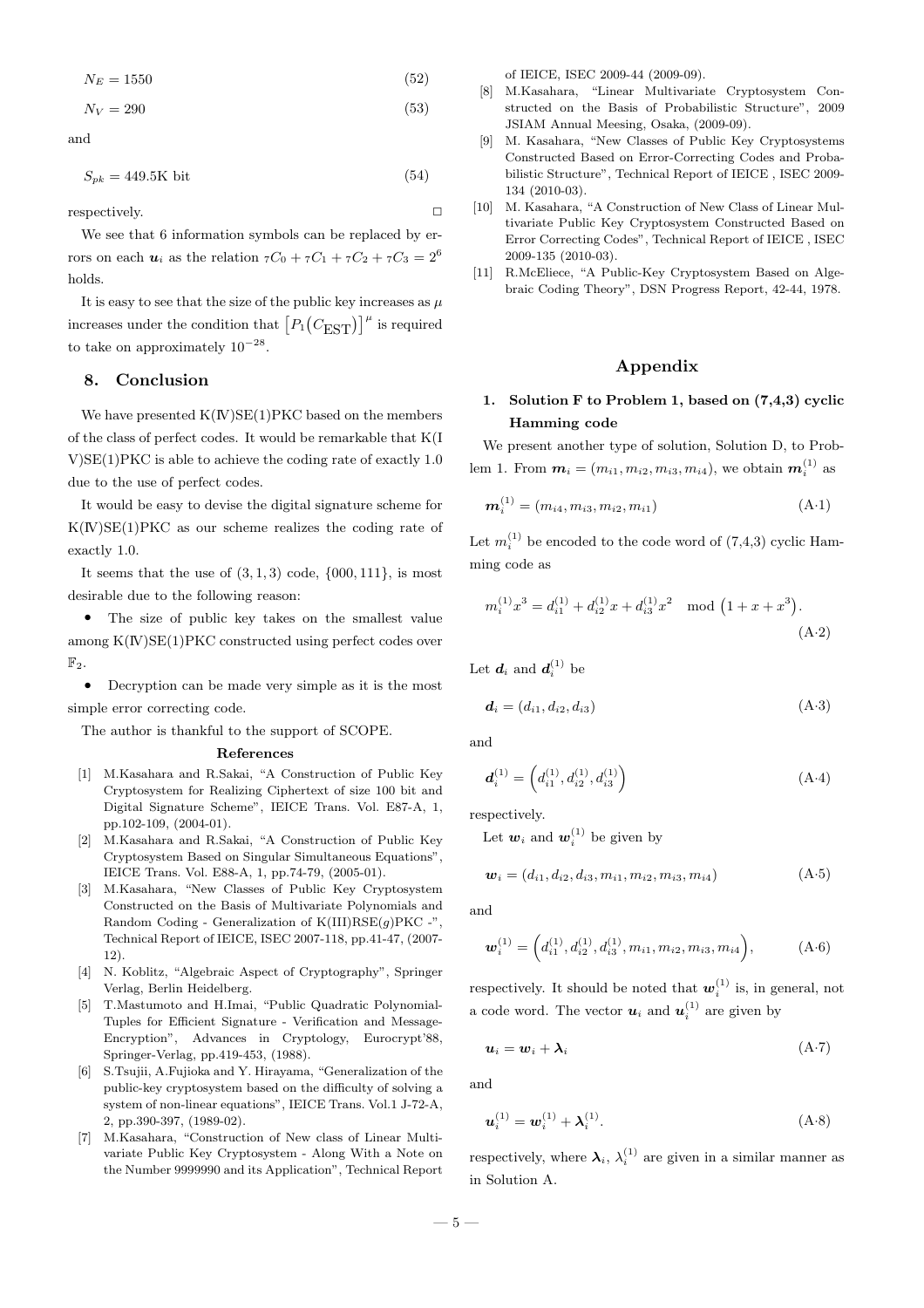$$
N_E = 1550\tag{52}
$$

 $N_V = 290$  (53)

and

 $S_{pk} = 449.5 \text{K} \text{ bit}$  (54)

respectively.  $\Box$ 

We see that 6 information symbols can be replaced by errors on each  $u_i$  as the relation  ${}_{7}C_0 + {}_{7}C_1 + {}_{7}C_2 + {}_{7}C_3 = 2^6$ holds.

It is easy to see that the size of the public key increases as  $\mu$ increases under the condition that  $[P_1]$  $(C_{\text{EST}})^{\mu}$  is required to take on approximately  $10^{-28}$ .

# 8. Conclusion

We have presented  $K(\mathbb{N})SE(1)PKC$  based on the members of the class of perfect codes. It would be remarkable that K(I V)SE(1)PKC is able to achieve the coding rate of exactly 1.0 due to the use of perfect codes.

It would be easy to devise the digital signature scheme for  $K(N)SE(1)PKC$  as our scheme realizes the coding rate of exactly 1.0.

It seems that the use of  $(3,1,3)$  code,  $\{000, 111\}$ , is most desirable due to the following reason:

• The size of public key takes on the smallest value among K(IV)SE(1)PKC constructed using perfect codes over  $\mathbb{F}_2$ .

• Decryption can be made very simple as it is the most simple error correcting code.

The author is thankful to the support of SCOPE.

### References

- [1] M.Kasahara and R.Sakai, "A Construction of Public Key Cryptosystem for Realizing Ciphertext of size 100 bit and Digital Signature Scheme", IEICE Trans. Vol. E87-A, 1, pp.102-109, (2004-01).
- [2] M.Kasahara and R.Sakai, "A Construction of Public Key Cryptosystem Based on Singular Simultaneous Equations", IEICE Trans. Vol. E88-A, 1, pp.74-79, (2005-01).
- [3] M.Kasahara, "New Classes of Public Key Cryptosystem Constructed on the Basis of Multivariate Polynomials and Random Coding - Generalization of  $K(III)RSE(g)PKC -$ ", Technical Report of IEICE, ISEC 2007-118, pp.41-47, (2007- 12).
- [4] N. Koblitz, "Algebraic Aspect of Cryptography", Springer Verlag, Berlin Heidelberg.
- [5] T.Mastumoto and H.Imai, "Public Quadratic Polynomial-Tuples for Efficient Signature - Verification and Message-Encryption", Advances in Cryptology, Eurocrypt'88, Springer-Verlag, pp.419-453, (1988).
- [6] S.Tsujii, A.Fujioka and Y. Hirayama, "Generalization of the public-key cryptosystem based on the difficulty of solving a system of non-linear equations", IEICE Trans. Vol.1 J-72-A, 2, pp.390-397, (1989-02).
- [7] M.Kasahara, "Construction of New class of Linear Multivariate Public Key Cryptosystem - Along With a Note on the Number 9999990 and its Application", Technical Report

of IEICE, ISEC 2009-44 (2009-09).

- [8] M.Kasahara, "Linear Multivariate Cryptosystem Constructed on the Basis of Probabilistic Structure", 2009 JSIAM Annual Meesing, Osaka, (2009-09).
- [9] M. Kasahara, "New Classes of Public Key Cryptosystems Constructed Based on Error-Correcting Codes and Probabilistic Structure", Technical Report of IEICE , ISEC 2009- 134 (2010-03).
- [10] M. Kasahara, "A Construction of New Class of Linear Multivariate Public Key Cryptosystem Constructed Based on Error Correcting Codes", Technical Report of IEICE , ISEC 2009-135 (2010-03).
- [11] R.McEliece, "A Public-Key Cryptosystem Based on Algebraic Coding Theory", DSN Progress Report, 42-44, 1978.

# Appendix

# 1. Solution F to Problem 1, based on (7,4,3) cyclic Hamming code

We present another type of solution, Solution D, to Problem 1. From  $m_i = (m_{i1}, m_{i2}, m_{i3}, m_{i4})$ , we obtain  $m_i^{(1)}$  as

$$
\mathbf{m}_i^{(1)} = (m_{i4}, m_{i3}, m_{i2}, m_{i1})
$$
 (A·1)

Let  $m_i^{(1)}$  be encoded to the code word of  $(7,4,3)$  cyclic Hamming code as

$$
m_i^{(1)}x^3 = d_{i1}^{(1)} + d_{i2}^{(1)}x + d_{i3}^{(1)}x^2 \mod (1 + x + x^3).
$$
\n(A.2)

Let  $d_i$  and  $d_i^{(1)}$  be

$$
\mathbf{d}_i = (d_{i1}, d_{i2}, d_{i3}) \tag{A-3}
$$

and

$$
\boldsymbol{d}_{i}^{(1)} = \left(d_{i1}^{(1)}, d_{i2}^{(1)}, d_{i3}^{(1)}\right) \tag{A-4}
$$

respectively.

Let  $w_i$  and  $w_i^{(1)}$  be given by

$$
\mathbf{w}_i = (d_{i1}, d_{i2}, d_{i3}, m_{i1}, m_{i2}, m_{i3}, m_{i4})
$$
 (A-5)

and

$$
\boldsymbol{w}_i^{(1)} = \left(d_{i1}^{(1)}, d_{i2}^{(1)}, d_{i3}^{(1)}, m_{i1}, m_{i2}, m_{i3}, m_{i4}\right), \tag{A-6}
$$

respectively. It should be noted that  $w_i^{(1)}$  is, in general, not a code word. The vector  $u_i$  and  $u_i^{(1)}$  are given by

$$
u_i = w_i + \lambda_i \tag{A-7}
$$

and

$$
\boldsymbol{u}_i^{(1)} = \boldsymbol{w}_i^{(1)} + \boldsymbol{\lambda}_i^{(1)}.
$$
\n(A-8)

respectively, where  $\lambda_i$ ,  $\lambda_i^{(1)}$  are given in a similar manner as in Solution A.